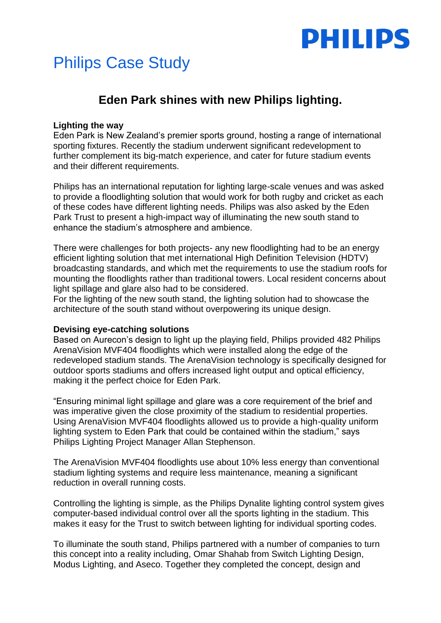

# Philips Case Study

## **Eden Park shines with new Philips lighting.**

### **Lighting the way**

Eden Park is New Zealand's premier sports ground, hosting a range of international sporting fixtures. Recently the stadium underwent significant redevelopment to further complement its big-match experience, and cater for future stadium events and their different requirements.

Philips has an international reputation for lighting large-scale venues and was asked to provide a floodlighting solution that would work for both rugby and cricket as each of these codes have different lighting needs. Philips was also asked by the Eden Park Trust to present a high-impact way of illuminating the new south stand to enhance the stadium's atmosphere and ambience.

There were challenges for both projects- any new floodlighting had to be an energy efficient lighting solution that met international High Definition Television (HDTV) broadcasting standards, and which met the requirements to use the stadium roofs for mounting the floodlights rather than traditional towers. Local resident concerns about light spillage and glare also had to be considered.

For the lighting of the new south stand, the lighting solution had to showcase the architecture of the south stand without overpowering its unique design.

#### **Devising eye-catching solutions**

Based on Aurecon's design to light up the playing field, Philips provided 482 Philips ArenaVision MVF404 floodlights which were installed along the edge of the redeveloped stadium stands. The ArenaVision technology is specifically designed for outdoor sports stadiums and offers increased light output and optical efficiency, making it the perfect choice for Eden Park.

"Ensuring minimal light spillage and glare was a core requirement of the brief and was imperative given the close proximity of the stadium to residential properties. Using ArenaVision MVF404 floodlights allowed us to provide a high-quality uniform lighting system to Eden Park that could be contained within the stadium," says Philips Lighting Project Manager Allan Stephenson.

The ArenaVision MVF404 floodlights use about 10% less energy than conventional stadium lighting systems and require less maintenance, meaning a significant reduction in overall running costs.

Controlling the lighting is simple, as the Philips Dynalite lighting control system gives computer-based individual control over all the sports lighting in the stadium. This makes it easy for the Trust to switch between lighting for individual sporting codes.

To illuminate the south stand, Philips partnered with a number of companies to turn this concept into a reality including, Omar Shahab from Switch Lighting Design, Modus Lighting, and Aseco. Together they completed the concept, design and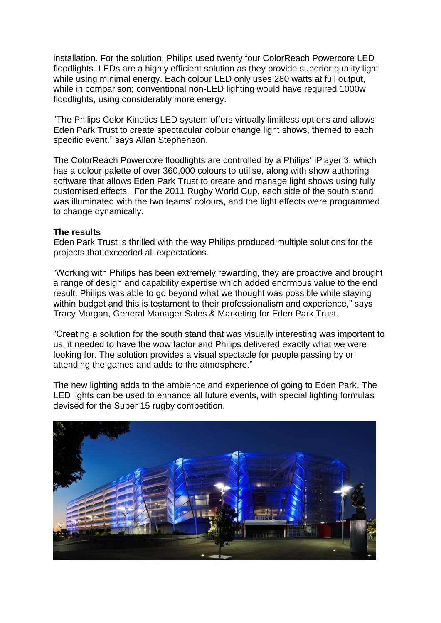installation. For the solution, Philips used twenty four ColorReach Powercore LED floodlights. LEDs are a highly efficient solution as they provide superior quality light while using minimal energy. Each colour LED only uses 280 watts at full output, while in comparison; conventional non-LED lighting would have required 1000w floodlights, using considerably more energy.

"The Philips Color Kinetics LED system offers virtually limitless options and allows Eden Park Trust to create spectacular colour change light shows, themed to each specific event." says Allan Stephenson.

The ColorReach Powercore floodlights are controlled by a Philips' iPlayer 3, which has a colour palette of over 360,000 colours to utilise, along with show authoring software that allows Eden Park Trust to create and manage light shows using fully customised effects. For the 2011 Rugby World Cup, each side of the south stand was illuminated with the two teams' colours, and the light effects were programmed to change dynamically.

### **The results**

Eden Park Trust is thrilled with the way Philips produced multiple solutions for the projects that exceeded all expectations.

"Working with Philips has been extremely rewarding, they are proactive and brought a range of design and capability expertise which added enormous value to the end result. Philips was able to go beyond what we thought was possible while staying within budget and this is testament to their professionalism and experience," says Tracy Morgan, General Manager Sales & Marketing for Eden Park Trust.

"Creating a solution for the south stand that was visually interesting was important to us, it needed to have the wow factor and Philips delivered exactly what we were looking for. The solution provides a visual spectacle for people passing by or attending the games and adds to the atmosphere."

The new lighting adds to the ambience and experience of going to Eden Park. The LED lights can be used to enhance all future events, with special lighting formulas devised for the Super 15 rugby competition.